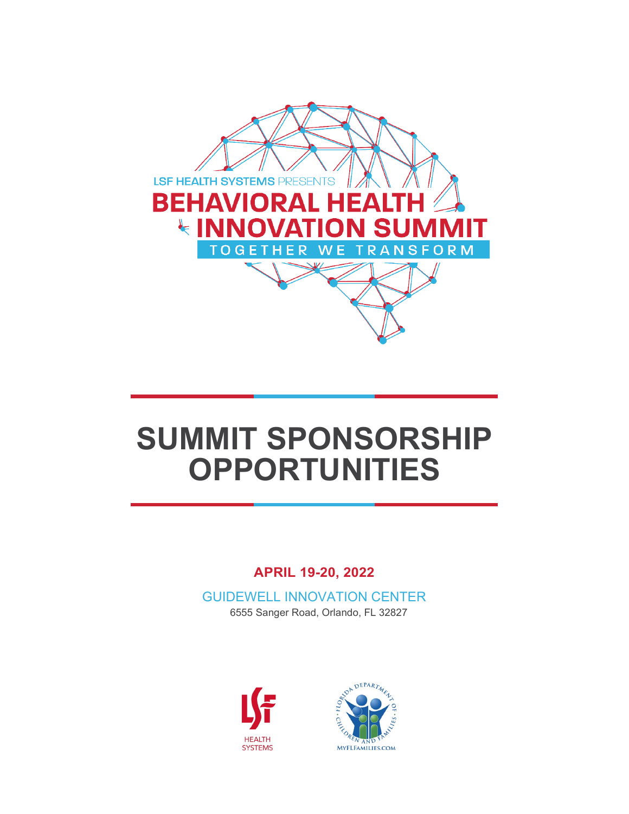

# **SUMMIT SPONSORSHIP OPPORTUNITIES**

# **APRIL 19-20, 2022**

GUIDEWELL INNOVATION CENTER 6555 Sanger Road, Orlando, FL 32827



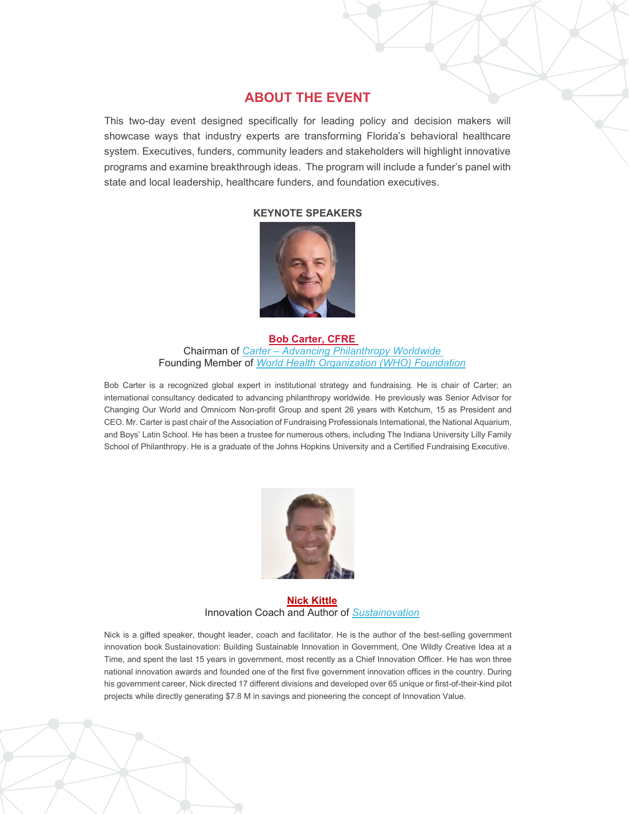#### **ABOUT THE EVENT**

This two-day event designed specifically for leading policy and decision makers will showcase ways that industry experts are transforming Florida's behavioral healthcare system. Executives, funders, community leaders and stakeholders will highlight innovative programs and examine breakthrough ideas. The program will include a funder's panel with state and local leadership, healthcare funders, and foundation executives.

#### **KEYNOTE SPEAKERS**



#### **[Bob Carter, CFRE](https://carter.global/who-we-are/bob-carter/)**  Chairman of *Carter – [Advancing Philanthropy Worldwide](https://carter.global/)*  Founding Member of *[World Health Organization \(WHO\) Foundation](https://who.foundation/en/who-we-are)*

Bob Carter is a recognized global expert in institutional strategy and fundraising. He is chair of Carter; an international consultancy dedicated to advancing philanthropy worldwide. He previously was Senior Advisor for Changing Our World and Omnicom Non-profit Group and spent 26 years with Ketchum, 15 as President and CEO. Mr. Carter is past chair of the Association of Fundraising Professionals International, the National Aquarium, and Boys' Latin School. He has been a trustee for numerous others, including The Indiana University Lilly Family School of Philanthropy. He is a graduate of the Johns Hopkins University and a Certified Fundraising Executive.



**Nick [Kittle](https://sustainovation.us/About)** Innovation Coach and Author of *[Sustainovation](https://sustainovation.us/home2)*

Nick is a gifted speaker, thought leader, coach and facilitator. He is the author of the best-selling government innovation book Sustainovation: Building Sustainable Innovation in Government, One Wildly Creative Idea at a Time, and spent the last 15 years in government, most recently as a Chief Innovation Officer. He has won three national innovation awards and founded one of the first five government innovation offices in the country. During his government career, Nick directed 17 different divisions and developed over 65 unique or first-of-their-kind pilot projects while directly generating \$7.8 M in savings and pioneering the concept of Innovation Value.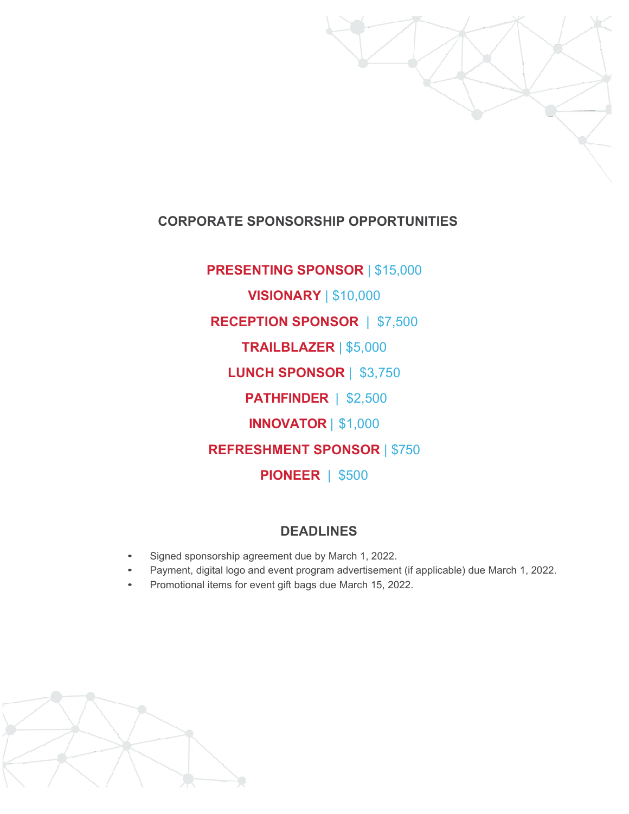

# **CORPORATE SPONSORSHIP OPPORTUNITIES**

**PRESENTING SPONSOR** | \$15,000 **VISIONARY** | \$10,000 **RECEPTION SPONSOR** | \$7,500 **TRAILBLAZER** | \$5,000 **LUNCH SPONSOR** | \$3,750 **PATHFINDER** | \$2,500 **INNOVATOR** | \$1,000 **REFRESHMENT SPONSOR** | \$750 **PIONEER** | \$500

#### **DEADLINES**

- Signed sponsorship agreement due by March 1, 2022.
- Payment, digital logo and event program advertisement (if applicable) due March 1, 2022.
- Promotional items for event gift bags due March 15, 2022.

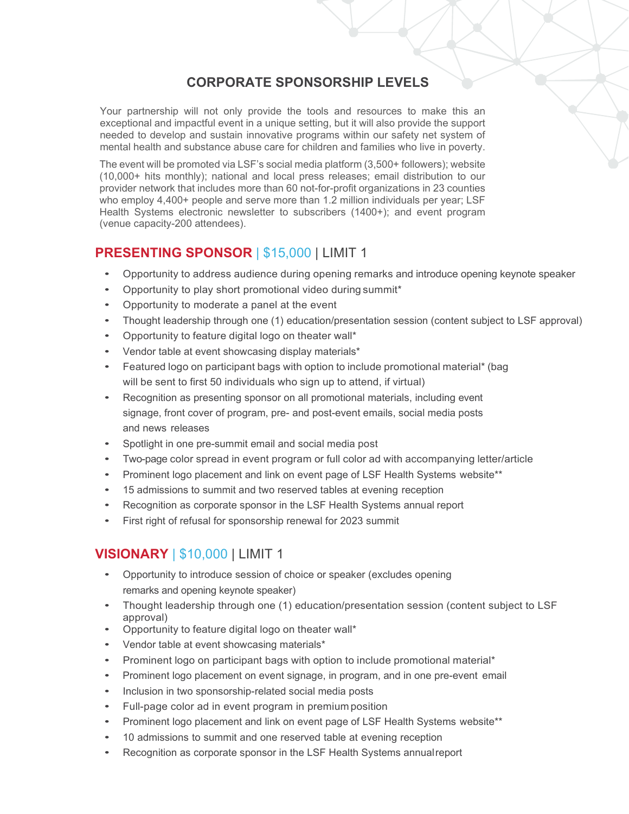# **CORPORATE SPONSORSHIP LEVELS**

Your partnership will not only provide the tools and resources to make this an exceptional and impactful event in a unique setting, but it will also provide the support needed to develop and sustain innovative programs within our safety net system of mental health and substance abuse care for children and families who live in poverty.

The event will be promoted via LSF's social media platform (3,500+ followers); website (10,000+ hits monthly); national and local press releases; email distribution to our provider network that includes more than 60 not-for-profit organizations in 23 counties who employ 4,400+ people and serve more than 1.2 million individuals per year; LSF Health Systems electronic newsletter to subscribers (1400+); and event program (venue capacity-200 attendees).

# **PRESENTING SPONSOR** | \$15,000 | LIMIT 1

- Opportunity to address audience during opening remarks and introduce opening keynote speaker
- Opportunity to play short promotional video during summit\*
- Opportunity to moderate a panel at the event
- Thought leadership through one (1) education/presentation session (content subject to LSF approval)
- Opportunity to feature digital logo on theater wall\*
- Vendor table at event showcasing display materials\*
- Featured logo on participant bags with option to include promotional material\* (bag will be sent to first 50 individuals who sign up to attend, if virtual)
- Recognition as presenting sponsor on all promotional materials, including event signage, front cover of program, pre- and post-event emails, social media posts and news releases
- Spotlight in one pre-summit email and social media post
- Two-page color spread in event program or full color ad with accompanying letter/article
- Prominent logo placement and link on event page of LSF Health Systems website\*\*
- 15 admissions to summit and two reserved tables at evening reception
- Recognition as corporate sponsor in the LSF Health Systems annual report
- First right of refusal for sponsorship renewal for 2023 summit

# **VISIONARY** | \$10,000 | LIMIT 1

- Opportunity to introduce session of choice or speaker (excludes opening remarks and opening keynote speaker)
- Thought leadership through one (1) education/presentation session (content subject to LSF approval)
- Opportunity to feature digital logo on theater wall\*
- Vendor table at event showcasing materials\*
- Prominent logo on participant bags with option to include promotional material\*
- Prominent logo placement on event signage, in program, and in one pre-event email
- Inclusion in two sponsorship-related social media posts
- Full-page color ad in event program in premium position
- Prominent logo placement and link on event page of LSF Health Systems website\*\*
- 10 admissions to summit and one reserved table at evening reception
- Recognition as corporate sponsor in the LSF Health Systems annualreport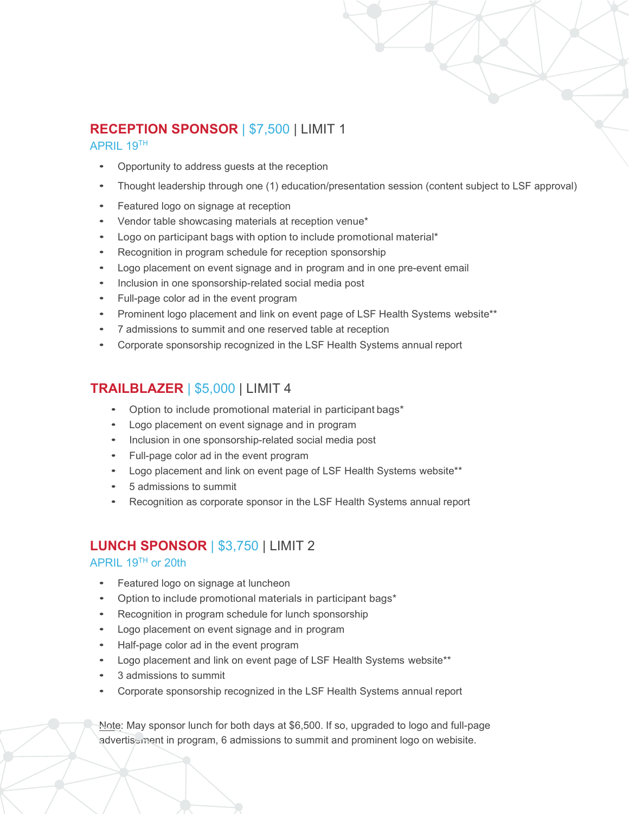# **RECEPTION SPONSOR** | \$7,500 | LIMIT 1

#### APRIL 19TH

- Opportunity to address guests at the reception
- Thought leadership through one (1) education/presentation session (content subject to LSF approval)
- Featured logo on signage at reception
- Vendor table showcasing materials at reception venue\*
- Logo on participant bags with option to include promotional material\*
- Recognition in program schedule for reception sponsorship
- Logo placement on event signage and in program and in one pre-event email
- Inclusion in one sponsorship-related social media post
- Full-page color ad in the event program
- Prominent logo placement and link on event page of LSF Health Systems website\*\*
- 7 admissions to summit and one reserved table at reception
- Corporate sponsorship recognized in the LSF Health Systems annual report

# **TRAILBLAZER** | \$5,000 | LIMIT 4

- Option to include promotional material in participant bags\*
- Logo placement on event signage and in program
- Inclusion in one sponsorship-related social media post
- Full-page color ad in the event program
- Logo placement and link on event page of LSF Health Systems website\*\*
- 5 admissions to summit
- Recognition as corporate sponsor in the LSF Health Systems annual report

# **LUNCH SPONSOR** | \$3,750 | LIMIT 2

#### APRIL 19TH or 20th

- Featured logo on signage at luncheon
- Option to include promotional materials in participant bags\*
- Recognition in program schedule for lunch sponsorship
- Logo placement on event signage and in program
- Half-page color ad in the event program
- Logo placement and link on event page of LSF Health Systems website\*\*
- 3 admissions to summit
- Corporate sponsorship recognized in the LSF Health Systems annual report

Note: May sponsor lunch for both days at \$6,500. If so, upgraded to logo and full-page advertisement in program, 6 admissions to summit and prominent logo on webisite.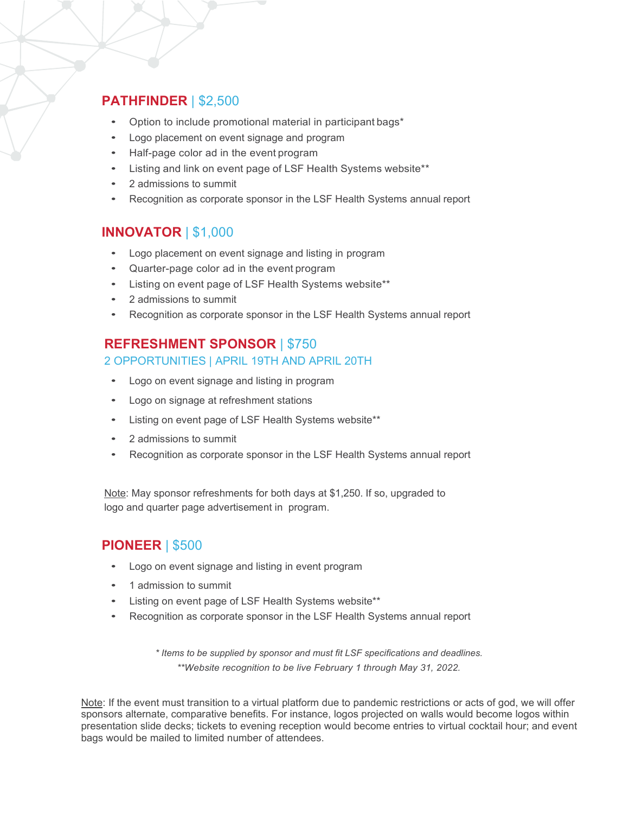# **PATHFINDER** | \$2,500

- Option to include promotional material in participant bags\*
- Logo placement on event signage and program
- Half-page color ad in the event program
- Listing and link on event page of LSF Health Systems website\*\*
- 2 admissions to summit
- Recognition as corporate sponsor in the LSF Health Systems annual report

## **INNOVATOR** | \$1,000

- Logo placement on event signage and listing in program
- Quarter-page color ad in the event program
- Listing on event page of LSF Health Systems website\*\*
- 2 admissions to summit
- Recognition as corporate sponsor in the LSF Health Systems annual report

## **REFRESHMENT SPONSOR** | \$750

#### 2 OPPORTUNITIES | APRIL 19TH AND APRIL 20TH

- Logo on event signage and listing in program
- Logo on signage at refreshment stations
- Listing on event page of LSF Health Systems website\*\*
- 2 admissions to summit
- Recognition as corporate sponsor in the LSF Health Systems annual report

Note: May sponsor refreshments for both days at \$1,250. If so, upgraded to logo and quarter page advertisement in program.

# **PIONEER** | \$500

- Logo on event signage and listing in event program
- 1 admission to summit
- Listing on event page of LSF Health Systems website\*\*
- Recognition as corporate sponsor in the LSF Health Systems annual report

*\* Items to be supplied by sponsor and must fit LSF specifications and deadlines. \*\*Website recognition to be live February 1 through May 31, 2022.*

Note: If the event must transition to a virtual platform due to pandemic restrictions or acts of god, we will offer sponsors alternate, comparative benefits. For instance, logos projected on walls would become logos within presentation slide decks; tickets to evening reception would become entries to virtual cocktail hour; and event bags would be mailed to limited number of attendees.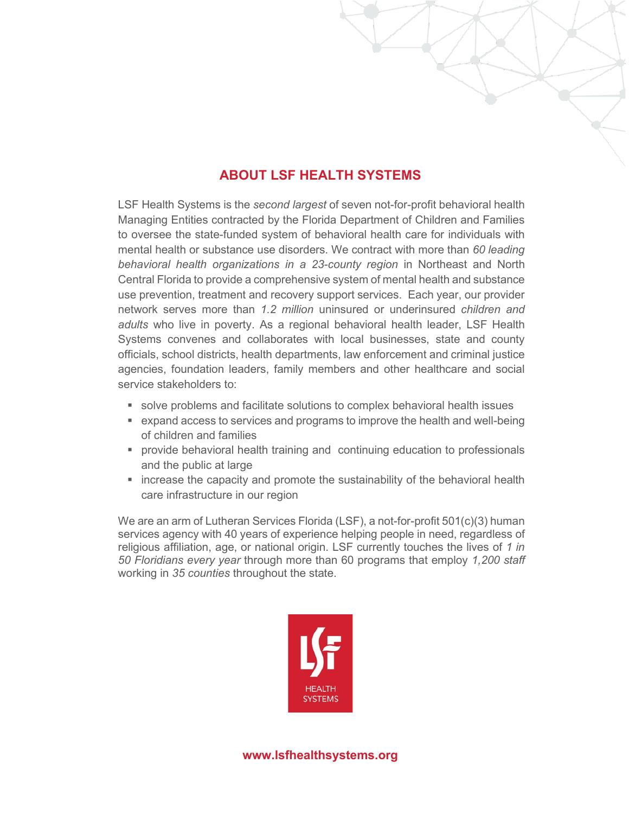# **ABOUT LSF HEALTH SYSTEMS**

LSF Health Systems is the *second largest* of seven not-for-profit behavioral health Managing Entities contracted by the Florida Department of Children and Families to oversee the state-funded system of behavioral health care for individuals with mental health or substance use disorders. We contract with more than *60 leading behavioral health organizations in a 23-county region* in Northeast and North Central Florida to provide a comprehensive system of mental health and substance use prevention, treatment and recovery support services. Each year, our provider network serves more than *1.2 million* uninsured or underinsured *children and adults* who live in poverty. As a regional behavioral health leader, LSF Health Systems convenes and collaborates with local businesses, state and county officials, school districts, health departments, law enforcement and criminal justice agencies, foundation leaders, family members and other healthcare and social service stakeholders to:

- solve problems and facilitate solutions to complex behavioral health issues
- expand access to services and programs to improve the health and well-being of children and families
- **Perovide behavioral health training and continuing education to professionals** and the public at large
- **EXT** increase the capacity and promote the sustainability of the behavioral health care infrastructure in our region

We are an arm of Lutheran Services Florida (LSF), a not-for-profit 501(c)(3) human services agency with 40 years of experience helping people in need, regardless of religious affiliation, age, or national origin. LSF currently touches the lives of *1 in 50 Floridians every year* through more than 60 programs that employ *1,200 staff* working in *35 counties* throughout the state.

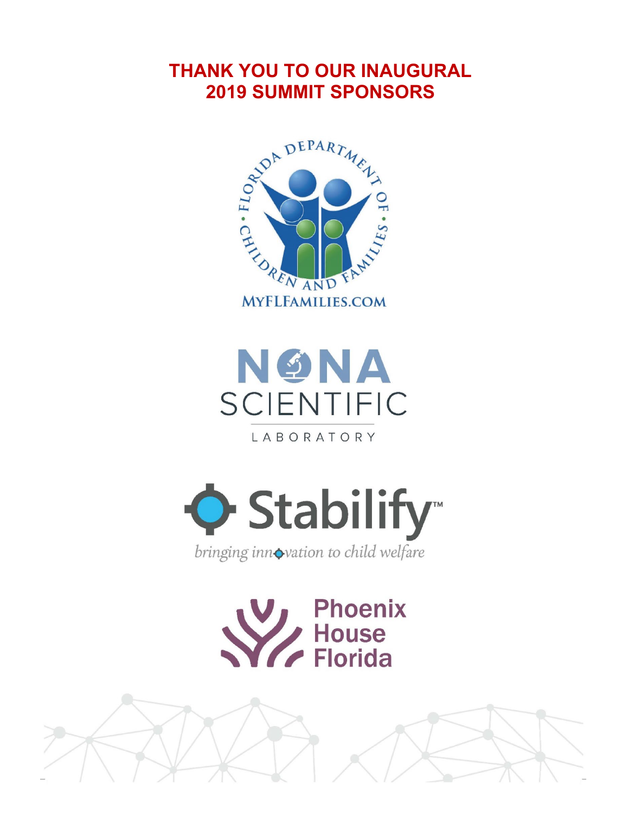# **THANK YOU TO OUR INAUGURAL 2019 SUMMIT SPONSORS**